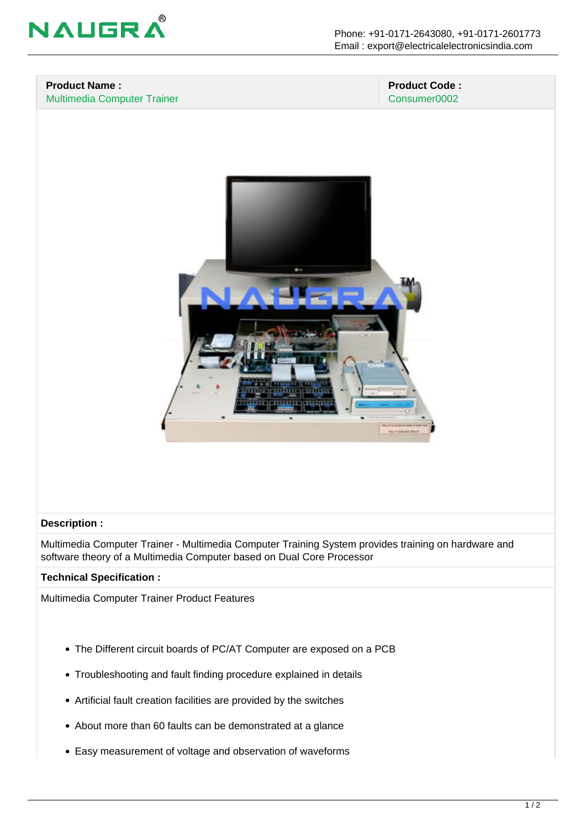

#### **Product Name :** Multimedia Computer Trainer

#### **Product Code :** Consumer0002



### **Description :**

Multimedia Computer Trainer - Multimedia Computer Training System provides training on hardware and software theory of a Multimedia Computer based on Dual Core Processor

### **Technical Specification :**

Multimedia Computer Trainer Product Features

- The Different circuit boards of PC/AT Computer are exposed on a PCB
- Troubleshooting and fault finding procedure explained in details
- Artificial fault creation facilities are provided by the switches
- About more than 60 faults can be demonstrated at a glance
- Easy measurement of voltage and observation of waveforms